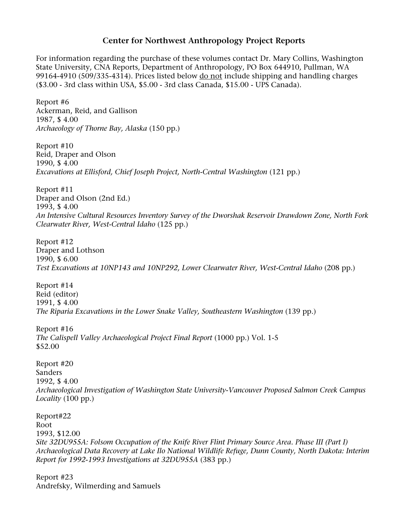## **Center for Northwest Anthropology Project Reports**

For information regarding the purchase of these volumes contact Dr. Mary Collins, Washington State University, CNA Reports, Department of Anthropology, PO Box 644910, Pullman, WA 99164-4910 (509/335-4314). Prices listed below do not include shipping and handling charges (\$3.00 - 3rd class within USA, \$5.00 - 3rd class Canada, \$15.00 - UPS Canada).

Report #6 Ackerman, Reid, and Gallison 1987, \$ 4.00 *Archaeology of Thorne Bay, Alaska* (150 pp.)

Report #10 Reid, Draper and Olson 1990, \$ 4.00 *Excavations at Ellisford, Chief Joseph Project, North-Central Washington* (121 pp.)

Report #11 Draper and Olson (2nd Ed.) 1993, \$ 4.00 *An Intensive Cultural Resources Inventory Survey of the Dworshak Reservoir Drawdown Zone, North Fork Clearwater River, West-Central Idaho* (125 pp.)

Report #12 Draper and Lothson 1990, \$ 6.00 *Test Excavations at 10NP143 and 10NP292, Lower Clearwater River, West-Central Idaho* (208 pp.)

Report #14 Reid (editor) 1991, \$ 4.00 *The Riparia Excavations in the Lower Snake Valley, Southeastern Washington* (139 pp.)

Report #16 *The Calispell Valley Archaeological Project Final Report* (1000 pp.) Vol. 1-5 \$52.00

Report #20 Sanders 1992, \$ 4.00 *Archaeological Investigation of Washington State University-Vancouver Proposed Salmon Creek Campus Locality* (100 pp.)

Report#22 Root 1993, \$12.00 *Site 32DU955A: Folsom Occupation of the Knife River Flint Primary Source Area. Phase III (Part I) Archaeological Data Recovery at Lake Ilo National Wildlife Refuge, Dunn County, North Dakota: Interim Report for 1992-1993 Investigations at 32DU955A* (383 pp.)

Report #23 Andrefsky, Wilmerding and Samuels